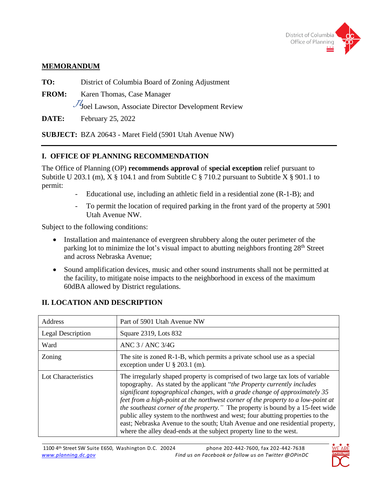

### **MEMORANDUM**

**TO:** District of Columbia Board of Zoning Adjustment

**FROM:** Karen Thomas, Case Manager

Joel Lawson, Associate Director Development Review *JL*

**DATE:** February 25, 2022

**SUBJECT:** BZA 20643 - Maret Field (5901 Utah Avenue NW)

## **I. OFFICE OF PLANNING RECOMMENDATION**

The Office of Planning (OP) **recommends approval** of **special exception** relief pursuant to Subtitle U 203.1 (m),  $X \S 104.1$  and from Subtitle C  $\S 710.2$  pursuant to Subtitle X  $\S 901.1$  to permit:

- Educational use, including an athletic field in a residential zone (R-1-B); and
- To permit the location of required parking in the front yard of the property at 5901 Utah Avenue NW.

Subject to the following conditions:

- Installation and maintenance of evergreen shrubbery along the outer perimeter of the parking lot to minimize the lot's visual impact to abutting neighbors fronting 28<sup>th</sup> Street and across Nebraska Avenue;
- Sound amplification devices, music and other sound instruments shall not be permitted at the facility, to mitigate noise impacts to the neighborhood in excess of the maximum 60dBA allowed by District regulations.

| Address             | Part of 5901 Utah Avenue NW                                                                                                                                                                                                                                                                                                                                                                                                                                                                                                                                                                                                                                      |  |  |
|---------------------|------------------------------------------------------------------------------------------------------------------------------------------------------------------------------------------------------------------------------------------------------------------------------------------------------------------------------------------------------------------------------------------------------------------------------------------------------------------------------------------------------------------------------------------------------------------------------------------------------------------------------------------------------------------|--|--|
| Legal Description   | Square 2319, Lots 832                                                                                                                                                                                                                                                                                                                                                                                                                                                                                                                                                                                                                                            |  |  |
| Ward                | ANC 3/ANC 3/4G                                                                                                                                                                                                                                                                                                                                                                                                                                                                                                                                                                                                                                                   |  |  |
| Zoning              | The site is zoned R-1-B, which permits a private school use as a special<br>exception under U $\S$ 203.1 (m).                                                                                                                                                                                                                                                                                                                                                                                                                                                                                                                                                    |  |  |
| Lot Characteristics | The irregularly shaped property is comprised of two large tax lots of variable<br>topography. As stated by the applicant "the Property currently includes"<br>significant topographical changes, with a grade change of approximately 35<br>feet from a high-point at the northwest corner of the property to a low-point at<br><i>the southeast corner of the property.</i> " The property is bound by a 15-feet wide<br>public alley system to the northwest and west; four abutting properties to the<br>east; Nebraska Avenue to the south; Utah Avenue and one residential property,<br>where the alley dead-ends at the subject property line to the west. |  |  |

# **II. LOCATION AND DESCRIPTION**

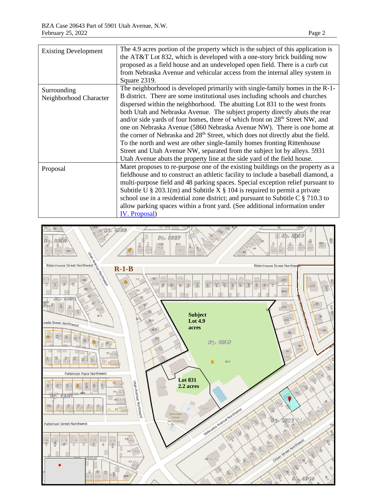| <b>Existing Development</b>           | The 4.9 acres portion of the property which is the subject of this application is<br>the AT&T Lot 832, which is developed with a one-story brick building now<br>proposed as a field house and an undeveloped open field. There is a curb cut                                                                                                                                                                                                                                                                                             |  |  |  |
|---------------------------------------|-------------------------------------------------------------------------------------------------------------------------------------------------------------------------------------------------------------------------------------------------------------------------------------------------------------------------------------------------------------------------------------------------------------------------------------------------------------------------------------------------------------------------------------------|--|--|--|
|                                       | from Nebraska Avenue and vehicular access from the internal alley system in<br>Square 2319.                                                                                                                                                                                                                                                                                                                                                                                                                                               |  |  |  |
| Surrounding<br>Neighborhood Character | The neighborhood is developed primarily with single-family homes in the R-1-<br>B district. There are some institutional uses including schools and churches<br>dispersed within the neighborhood. The abutting Lot 831 to the west fronts<br>both Utah and Nebraska Avenue. The subject property directly abuts the rear<br>and/or side yards of four homes, three of which front on 28 <sup>th</sup> Street NW, and<br>one on Nebraska Avenue (5860 Nebraska Avenue NW). There is one home at                                           |  |  |  |
|                                       | the corner of Nebraska and 28 <sup>th</sup> Street, which does not directly abut the field.<br>To the north and west are other single-family homes fronting Rittenhouse<br>Street and Utah Avenue NW, separated from the subject lot by alleys. 5931<br>Utah Avenue abuts the property line at the side yard of the field house.                                                                                                                                                                                                          |  |  |  |
| Proposal                              | Maret proposes to re-purpose one of the existing buildings on the property as a<br>fieldhouse and to construct an athletic facility to include a baseball diamond, a<br>multi-purpose field and 48 parking spaces. Special exception relief pursuant to<br>Subtitle U $\S 203.1(m)$ and Subtitle X $\S 104$ is required to permit a private<br>school use in a residential zone district; and pursuant to Subtitle C $\S$ 710.3 to<br>allow parking spaces within a front yard. (See additional information under<br><b>IV.</b> Proposal) |  |  |  |

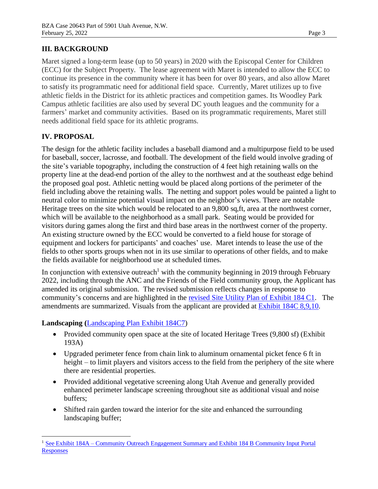## **III. BACKGROUND**

Maret signed a long-term lease (up to 50 years) in 2020 with the Episcopal Center for Children (ECC) for the Subject Property. The lease agreement with Maret is intended to allow the ECC to continue its presence in the community where it has been for over 80 years, and also allow Maret to satisfy its programmatic need for additional field space. Currently, Maret utilizes up to five athletic fields in the District for its athletic practices and competition games. Its Woodley Park Campus athletic facilities are also used by several DC youth leagues and the community for a farmers' market and community activities. Based on its programmatic requirements, Maret still needs additional field space for its athletic programs.

### <span id="page-2-0"></span>**IV. PROPOSAL**

The design for the athletic facility includes a baseball diamond and a multipurpose field to be used for baseball, soccer, lacrosse, and football. The development of the field would involve grading of the site's variable topography, including the construction of 4 feet high retaining walls on the property line at the dead-end portion of the alley to the northwest and at the southeast edge behind the proposed goal post. Athletic netting would be placed along portions of the perimeter of the field including above the retaining walls. The netting and support poles would be painted a light to neutral color to minimize potential visual impact on the neighbor's views. There are notable Heritage trees on the site which would be relocated to an 9,800 sq,ft, area at the northwest corner, which will be available to the neighborhood as a small park. Seating would be provided for visitors during games along the first and third base areas in the northwest corner of the property. An existing structure owned by the ECC would be converted to a field house for storage of equipment and lockers for participants' and coaches' use. Maret intends to lease the use of the fields to other sports groups when not in its use similar to operations of other fields, and to make the fields available for neighborhood use at scheduled times.

In conjunction with extensive outreach<sup>1</sup> with the community beginning in 2019 through February 2022, including through the ANC and the Friends of the Field community group, the Applicant has amended its original submission. The revised submission reflects changes in response to community's concerns and are highlighted in the [revised Site Utility Plan of Exhibit 184 C1.](https://app.dcoz.dc.gov/CaseReport/ViewExhibitsReport.aspx?case_id=20643) The amendments are summarized. Visuals from the applicant are provided at [Exhibit 184C](https://app.dcoz.dc.gov/CaseReport/ViewExhibitsReport.aspx?case_id=20643) 8,9,10.

## **Landscaping (**[Landscaping Plan Exhibit 184C7\)](https://app.dcoz.dc.gov/CaseReport/ViewExhibitsReport.aspx?case_id=20643)

- Provided community open space at the site of located Heritage Trees (9,800 sf) (Exhibit 193A)
- Upgraded perimeter fence from chain link to aluminum ornamental picket fence 6 ft in height – to limit players and visitors access to the field from the periphery of the site where there are residential properties.
- Provided additional vegetative screening along Utah Avenue and generally provided enhanced perimeter landscape screening throughout site as additional visual and noise buffers;
- Shifted rain garden toward the interior for the site and enhanced the surrounding landscaping buffer;

<sup>1</sup> See Exhibit 184A – Community Outreach [Engagement Summary and Exhibit 184 B Community Input Portal](https://app.dcoz.dc.gov/CaseReport/ViewExhibitsReport.aspx?case_id=20643)  [Responses](https://app.dcoz.dc.gov/CaseReport/ViewExhibitsReport.aspx?case_id=20643)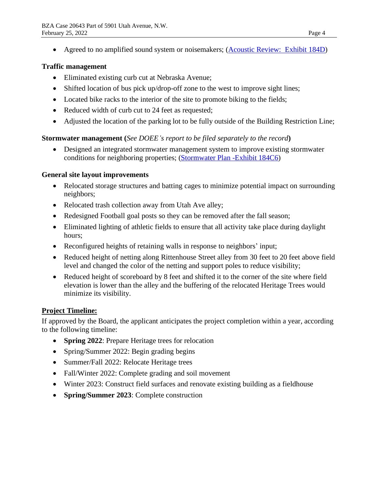• Agreed to no amplified sound system or noisemakers; [\(Acoustic Review: Exhibit](https://app.dcoz.dc.gov/CaseReport/ViewExhibitsReport.aspx?case_id=20643) 184D)

### **Traffic management**

- Eliminated existing curb cut at Nebraska Avenue;
- Shifted location of bus pick up/drop-off zone to the west to improve sight lines;
- Located bike racks to the interior of the site to promote biking to the fields;
- Reduced width of curb cut to 24 feet as requested;
- Adjusted the location of the parking lot to be fully outside of the Building Restriction Line;

### **Stormwater management (***See DOEE's report to be filed separately to the record***)**

• Designed an integrated stormwater management system to improve existing stormwater conditions for neighboring properties; [\(Stormwater Plan -Exhibit 184C6\)](https://app.dcoz.dc.gov/CaseReport/ViewExhibitsReport.aspx?case_id=20643)

#### **General site layout improvements**

- Relocated storage structures and batting cages to minimize potential impact on surrounding neighbors;
- Relocated trash collection away from Utah Ave alley;
- Redesigned Football goal posts so they can be removed after the fall season;
- Eliminated lighting of athletic fields to ensure that all activity take place during daylight hours;
- Reconfigured heights of retaining walls in response to neighbors' input;
- Reduced height of netting along Rittenhouse Street alley from 30 feet to 20 feet above field level and changed the color of the netting and support poles to reduce visibility;
- Reduced height of scoreboard by 8 feet and shifted it to the corner of the site where field elevation is lower than the alley and the buffering of the relocated Heritage Trees would minimize its visibility.

### **Project Timeline:**

If approved by the Board, the applicant anticipates the project completion within a year, according to the following timeline:

- **Spring 2022:** Prepare Heritage trees for relocation
- Spring/Summer 2022: Begin grading begins
- Summer/Fall 2022: Relocate Heritage trees
- Fall/Winter 2022: Complete grading and soil movement
- Winter 2023: Construct field surfaces and renovate existing building as a fieldhouse
- **Spring/Summer 2023**: Complete construction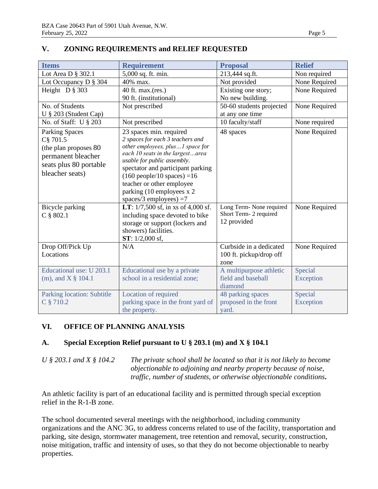| <b>Items</b>                                                                                                                   | <b>Requirement</b>                                                                                                                                                                                                                                                                                                                             | <b>Proposal</b>                                                   | <b>Relief</b>        |
|--------------------------------------------------------------------------------------------------------------------------------|------------------------------------------------------------------------------------------------------------------------------------------------------------------------------------------------------------------------------------------------------------------------------------------------------------------------------------------------|-------------------------------------------------------------------|----------------------|
| Lot Area D § 302.1                                                                                                             | 5,000 sq. ft. min.                                                                                                                                                                                                                                                                                                                             | 213,444 sq.ft.                                                    | Non required         |
| Lot Occupancy D § 304                                                                                                          | 40% max.                                                                                                                                                                                                                                                                                                                                       | Not provided                                                      | None Required        |
| Height $D$ § 303                                                                                                               | 40 ft. max.(res.)<br>90 ft. (institutional)                                                                                                                                                                                                                                                                                                    | Existing one story;<br>No new building.                           | None Required        |
| No. of Students<br>U § 203 (Student Cap)                                                                                       | Not prescribed                                                                                                                                                                                                                                                                                                                                 | 50-60 students projected<br>at any one time                       | None Required        |
| No. of Staff: U § 203                                                                                                          | Not prescribed                                                                                                                                                                                                                                                                                                                                 | 10 faculty/staff                                                  | None required        |
| <b>Parking Spaces</b><br>C§ 701.5<br>(the plan proposes 80)<br>permanent bleacher<br>seats plus 80 portable<br>bleacher seats) | 23 spaces min. required<br>2 spaces for each 3 teachers and<br>other employees, plus1 space for<br>each 10 seats in the largestarea<br>usable for public assembly.<br>spectator and participant parking<br>$(160 \text{ people}/10 \text{ spaces}) = 16$<br>teacher or other employee<br>parking (10 employees x 2<br>spaces/3 employees) $=7$ | 48 spaces                                                         | None Required        |
| Bicycle parking<br>$C$ § 802.1                                                                                                 | LT: 1/7,500 sf, in xs of 4,000 sf.<br>including space devoted to bike<br>storage or support (lockers and<br>showers) facilities.<br>$ST: 1/2,000$ sf,                                                                                                                                                                                          | Long Term- None required<br>Short Term- 2 required<br>12 provided | None Required        |
| Drop Off/Pick Up<br>Locations                                                                                                  | N/A                                                                                                                                                                                                                                                                                                                                            | Curbside in a dedicated<br>100 ft. pickup/drop off<br>zone        | None Required        |
| Educational use: U 203.1<br>(m), and $X \S 104.1$                                                                              | Educational use by a private<br>school in a residential zone;                                                                                                                                                                                                                                                                                  | A multipurpose athletic<br>field and baseball<br>diamond          | Special<br>Exception |
| Parking location: Subtitle<br>C § 710.2                                                                                        | Location of required<br>parking space in the front yard of<br>the property.                                                                                                                                                                                                                                                                    | 48 parking spaces<br>proposed in the front<br>yard.               | Special<br>Exception |

### **V. ZONING REQUIREMENTS and RELIEF REQUESTED**

### **VI. OFFICE OF PLANNING ANALYSIS**

### **A. Special Exception Relief pursuant to U § 203.1 (m) and X § 104.1**

*U § 203.1 and X § 104.2 The private school shall be located so that it is not likely to become objectionable to adjoining and nearby property because of noise, traffic, number of students, or otherwise objectionable conditions***.**

An athletic facility is part of an educational facility and is permitted through special exception relief in the R-1-B zone.

The school documented several meetings with the neighborhood, including community organizations and the ANC 3G, to address concerns related to use of the facility, transportation and parking, site design, stormwater management, tree retention and removal, security, construction, noise mitigation, traffic and intensity of uses, so that they do not become objectionable to nearby properties.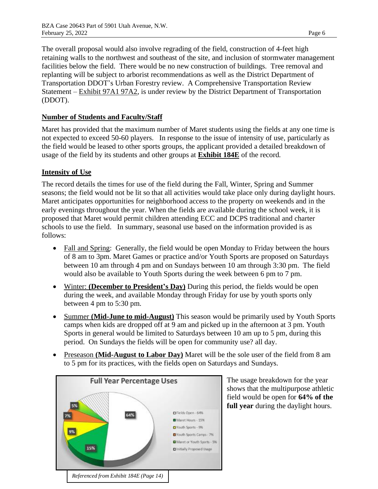The overall proposal would also involve regrading of the field, construction of 4-feet high retaining walls to the northwest and southeast of the site, and inclusion of stormwater management facilities below the field. There would be no new construction of buildings. Tree removal and replanting will be subject to arborist recommendations as well as the District Department of Transportation DDOT's Urban Forestry review. A Comprehensive Transportation Review Statement – Exhibit 97A1 97A2, is under review by the District Department of Transportation (DDOT).

### **Number of Students and Faculty/Staff**

Maret has provided that the maximum number of Maret students using the fields at any one time is not expected to exceed 50-60 players. In response to the issue of intensity of use, particularly as the field would be leased to other sports groups, the applicant provided a detailed breakdown of usage of the field by its students and other groups at **Exhibit 184E** of the record.

### **Intensity of Use**

The record details the times for use of the field during the Fall, Winter, Spring and Summer seasons; the field would not be lit so that all activities would take place only during daylight hours. Maret anticipates opportunities for neighborhood access to the property on weekends and in the early evenings throughout the year. When the fields are available during the school week, it is proposed that Maret would permit children attending ECC and DCPS traditional and charter schools to use the field. In summary, seasonal use based on the information provided is as follows:

- Fall and Spring: Generally, the field would be open Monday to Friday between the hours of 8 am to 3pm. Maret Games or practice and/or Youth Sports are proposed on Saturdays between 10 am through 4 pm and on Sundays between 10 am through 3:30 pm. The field would also be available to Youth Sports during the week between 6 pm to 7 pm.
- Winter: **(December to President's Day)** During this period, the fields would be open during the week, and available Monday through Friday for use by youth sports only between 4 pm to 5:30 pm.
- Summer **(Mid-June to mid-August)** This season would be primarily used by Youth Sports camps when kids are dropped off at 9 am and picked up in the afternoon at 3 pm. Youth Sports in general would be limited to Saturdays between 10 am up to 5 pm, during this period. On Sundays the fields will be open for community use? all day.
- Preseason **(Mid-August to Labor Day)** Maret will be the sole user of the field from 8 am to 5 pm for its practices, with the fields open on Saturdays and Sundays.



The usage breakdown for the year shows that the multipurpose athletic field would be open for **64% of the full year** during the daylight hours.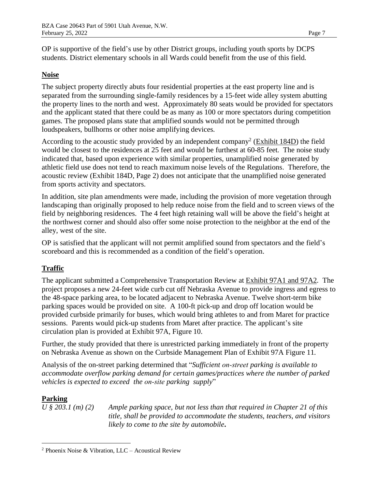OP is supportive of the field's use by other District groups, including youth sports by DCPS students. District elementary schools in all Wards could benefit from the use of this field.

### **Noise**

The subject property directly abuts four residential properties at the east property line and is separated from the surrounding single-family residences by a 15-feet wide alley system abutting the property lines to the north and west. Approximately 80 seats would be provided for spectators and the applicant stated that there could be as many as 100 or more spectators during competition games. The proposed plans state that amplified sounds would not be permitted through loudspeakers, bullhorns or other noise amplifying devices.

According to the acoustic study provided by an independent company<sup>2</sup> (Exhibit 184D) the field would be closest to the residences at 25 feet and would be furthest at 60-85 feet. The noise study indicated that, based upon experience with similar properties, unamplified noise generated by athletic field use does not tend to reach maximum noise levels of the Regulations. Therefore, the acoustic review (Exhibit 184D, Page 2) does not anticipate that the unamplified noise generated from sports activity and spectators.

In addition, site plan amendments were made, including the provision of more vegetation through landscaping than originally proposed to help reduce noise from the field and to screen views of the field by neighboring residences. The 4 feet high retaining wall will be above the field's height at the northwest corner and should also offer some noise protection to the neighbor at the end of the alley, west of the site.

OP is satisfied that the applicant will not permit amplified sound from spectators and the field's scoreboard and this is recommended as a condition of the field's operation.

#### **Traffic**

The applicant submitted a Comprehensive Transportation Review at Exhibit 97A1 and 97A2. The project proposes a new 24-feet wide curb cut off Nebraska Avenue to provide ingress and egress to the 48-space parking area, to be located adjacent to Nebraska Avenue. Twelve short-term bike parking spaces would be provided on site. A 100-ft pick-up and drop off location would be provided curbside primarily for buses, which would bring athletes to and from Maret for practice sessions. Parents would pick-up students from Maret after practice. The applicant's site circulation plan is provided at Exhibit 97A, Figure 10.

Further, the study provided that there is unrestricted parking immediately in front of the property on Nebraska Avenue as shown on the Curbside Management Plan of Exhibit 97A Figure 11.

Analysis of the on-street parking determined that "*Sufficient on‐street parking is available to accommodate overflow parking demand for certain games/practices where the number of parked vehicles is expected to exceed the on‐site parking supply*"

#### **Parking**

*U § 203.1 (m) (2) Ample parking space, but not less than that required in Chapter 21 of this title, shall be provided to accommodate the students, teachers, and visitors likely to come to the site by automobile***.** 

<sup>2</sup> Phoenix Noise & Vibration, LLC – Acoustical Review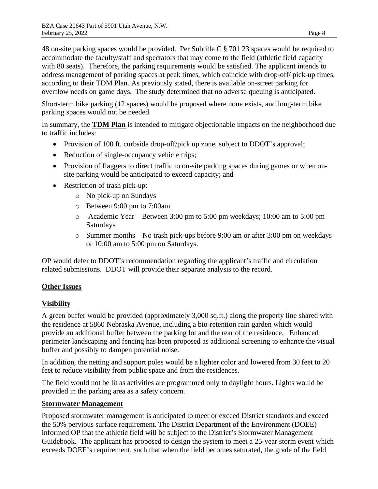48 on-site parking spaces would be provided. Per Subtitle C § 701 23 spaces would be required to accommodate the faculty/staff and spectators that may come to the field (athletic field capacity with 80 seats). Therefore, the parking requirements would be satisfied. The applicant intends to address management of parking spaces at peak times, which coincide with drop-off/ pick-up times, according to their TDM Plan. As previously stated, there is available on-street parking for overflow needs on game days. The study determined that no adverse queuing is anticipated.

Short-term bike parking (12 spaces) would be proposed where none exists, and long-term bike parking spaces would not be needed.

In summary, the **TDM Plan** is intended to mitigate objectionable impacts on the neighborhood due to traffic includes:

- Provision of 100 ft. curbside drop-off/pick up zone, subject to DDOT's approval;
- Reduction of single-occupancy vehicle trips;
- Provision of flaggers to direct traffic to on-site parking spaces during games or when onsite parking would be anticipated to exceed capacity; and
- Restriction of trash pick-up:
	- o No pick-up on Sundays
	- o Between 9:00 pm to 7:00am
	- o Academic Year Between 3:00 pm to 5:00 pm weekdays; 10:00 am to 5:00 pm Saturdays
	- o Summer months No trash pick-ups before 9:00 am or after 3:00 pm on weekdays or 10:00 am to 5:00 pm on Saturdays.

OP would defer to DDOT's recommendation regarding the applicant's traffic and circulation related submissions. DDOT will provide their separate analysis to the record.

### **Other Issues**

### **Visibility**

A green buffer would be provided (approximately 3,000 sq.ft.) along the property line shared with the residence at 5860 Nebraska Avenue, including a bio-retention rain garden which would provide an additional buffer between the parking lot and the rear of the residence. Enhanced perimeter landscaping and fencing has been proposed as additional screening to enhance the visual buffer and possibly to dampen potential noise.

In addition, the netting and support poles would be a lighter color and lowered from 30 feet to 20 feet to reduce visibility from public space and from the residences.

The field would not be lit as activities are programmed only to daylight hours. Lights would be provided in the parking area as a safety concern.

### **Stormwater Management**

Proposed stormwater management is anticipated to meet or exceed District standards and exceed the 50% pervious surface requirement. The District Department of the Environment (DOEE) informed OP that the athletic field will be subject to the District's Stormwater Management Guidebook. The applicant has proposed to design the system to meet a 25-year storm event which exceeds DOEE's requirement, such that when the field becomes saturated, the grade of the field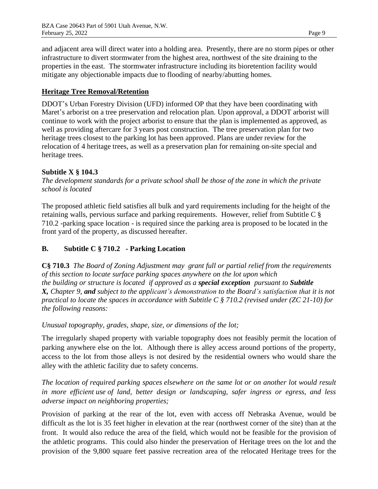and adjacent area will direct water into a holding area. Presently, there are no storm pipes or other infrastructure to divert stormwater from the highest area, northwest of the site draining to the properties in the east. The stormwater infrastructure including its bioretention facility would mitigate any objectionable impacts due to flooding of nearby/abutting homes.

### **Heritage Tree Removal/Retention**

DDOT's Urban Forestry Division (UFD) informed OP that they have been coordinating with Maret's arborist on a tree preservation and relocation plan. Upon approval, a DDOT arborist will continue to work with the project arborist to ensure that the plan is implemented as approved, as well as providing aftercare for 3 years post construction. The tree preservation plan for two heritage trees closest to the parking lot has been approved. Plans are under review for the relocation of 4 heritage trees, as well as a preservation plan for remaining on-site special and heritage trees.

#### **Subtitle X § 104.3**

*The development standards for a private school shall be those of the zone in which the private school is located*

The proposed athletic field satisfies all bulk and yard requirements including for the height of the retaining walls, pervious surface and parking requirements. However, relief from Subtitle C § 710.2 -parking space location - is required since the parking area is proposed to be located in the front yard of the property, as discussed hereafter.

### **B. Subtitle C § 710.2 - Parking Location**

**C§ 710.3** *The [Board of Zoning Adjustment](https://online.encodeplus.com/regs/washington-dc/doc-view.aspx?pn=0&ajax=0&secid=301) may grant full or partial relief from the requirements of this section to locate [surface parking](https://online.encodeplus.com/regs/washington-dc/doc-view.aspx?pn=0&ajax=0&secid=457) spaces anywhere on the [lot](https://online.encodeplus.com/regs/washington-dc/doc-view.aspx?pn=0&ajax=0&secid=420) upon which the [building](https://online.encodeplus.com/regs/washington-dc/doc-view.aspx?pn=0&ajax=0&secid=304) or [structure](https://online.encodeplus.com/regs/washington-dc/doc-view.aspx?pn=0&ajax=0&secid=495) is located if approved as a special exception pursuant to Subtitle X, Chapter 9, and subject to the applicant's demonstration to the Board's satisfaction that it is not practical to locate the spaces in accordance with Subtitle C § 710.2 (revised under (ZC 21-10) for the following reasons:*

*Unusual topography, grades, shape, size, or dimensions of the lot;*

The irregularly shaped property with variable topography does not feasibly permit the location of parking anywhere else on the lot. Although there is alley access around portions of the property, access to the lot from those alleys is not desired by the residential owners who would share the alley with the athletic facility due to safety concerns.

*The location of required [parking spaces](https://online.encodeplus.com/regs/washington-dc/doc-view.aspx?pn=0&ajax=0&secid=452) elsewhere on the same lot or on another lot would result in more efficient [use](https://online.encodeplus.com/regs/washington-dc/doc-view.aspx?pn=0&ajax=0&secid=499) of land, better design or landscaping, safer ingress or egress, and less adverse impact on neighboring properties;*

Provision of parking at the rear of the lot, even with access off Nebraska Avenue, would be difficult as the lot is 35 feet higher in elevation at the rear (northwest corner of the site) than at the front. It would also reduce the area of the field, which would not be feasible for the provision of the athletic programs. This could also hinder the preservation of Heritage trees on the lot and the provision of the 9,800 square feet passive recreation area of the relocated Heritage trees for the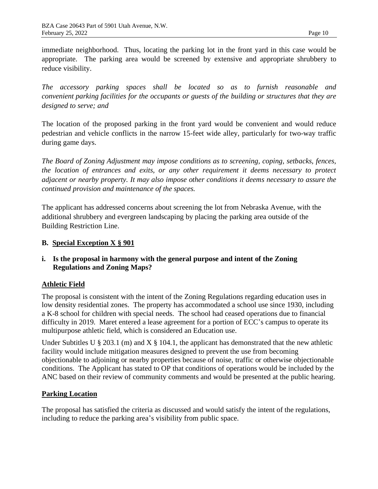immediate neighborhood. Thus, locating the parking lot in the front yard in this case would be appropriate. The parking area would be screened by extensive and appropriate shrubbery to reduce visibility.

*The accessory parking spaces shall be located so as to furnish reasonable and convenient [parking](https://online.encodeplus.com/regs/washington-dc/doc-view.aspx?pn=0&ajax=0&secid=549) facilities for the occupants or guests of the building or structures that they are designed to serve; and*

The location of the proposed parking in the front yard would be convenient and would reduce pedestrian and vehicle conflicts in the narrow 15-feet wide alley, particularly for two-way traffic during game days.

*The Board of Zoning Adjustment may impose conditions as to screening, coping, setbacks, fences, the location of entrances and exits, or any other requirement it deems necessary to protect adjacent or nearby property. It may also impose other conditions it deems necessary to assure the continued provision and maintenance of the spaces.*

The applicant has addressed concerns about screening the lot from Nebraska Avenue, with the additional shrubbery and evergreen landscaping by placing the parking area outside of the Building Restriction Line.

#### **B. Special Exception X § 901**

### **i. Is the proposal in harmony with the general purpose and intent of the Zoning Regulations and Zoning Maps?**

### **Athletic Field**

The proposal is consistent with the intent of the Zoning Regulations regarding education uses in low density residential zones. The property has accommodated a school use since 1930, including a K-8 school for children with special needs. The school had ceased operations due to financial difficulty in 2019. Maret entered a lease agreement for a portion of ECC's campus to operate its multipurpose athletic field, which is considered an Education use.

Under Subtitles U  $\S 203.1$  (m) and X  $\S 104.1$ , the applicant has demonstrated that the new athletic facility would include mitigation measures designed to prevent the use from becoming objectionable to adjoining or nearby properties because of noise, traffic or otherwise objectionable conditions. The Applicant has stated to OP that conditions of operations would be included by the ANC based on their review of community comments and would be presented at the public hearing.

### **Parking Location**

The proposal has satisfied the criteria as discussed and would satisfy the intent of the regulations, including to reduce the parking area's visibility from public space.